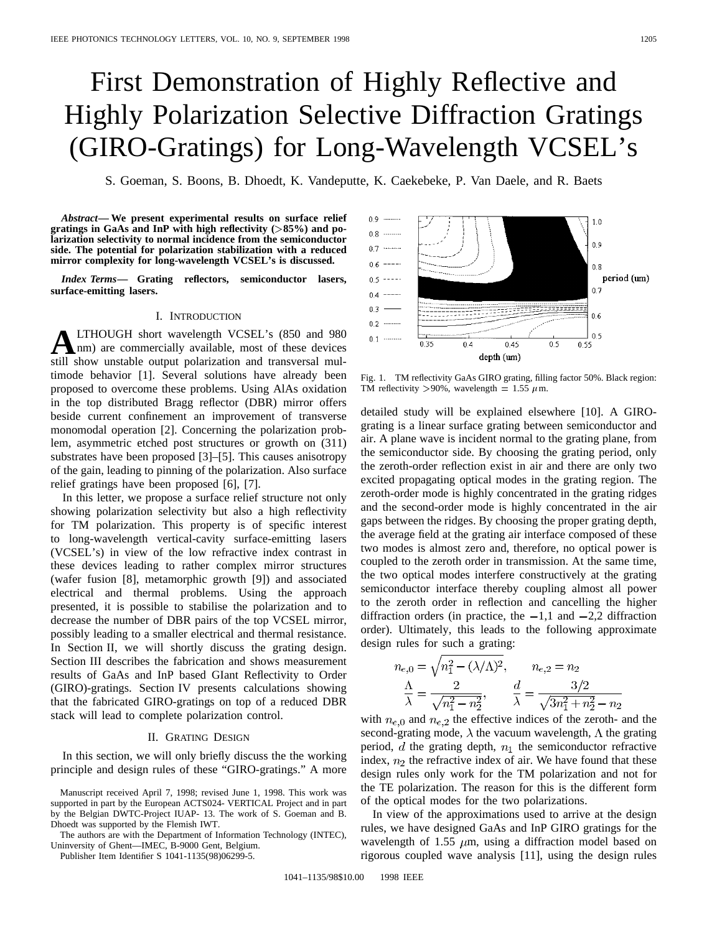# First Demonstration of Highly Reflective and Highly Polarization Selective Diffraction Gratings (GIRO-Gratings) for Long-Wavelength VCSEL's

S. Goeman, S. Boons, B. Dhoedt, K. Vandeputte, K. Caekebeke, P. Van Daele, and R. Baets

*Abstract—* **We present experimental results on surface relief gratings in GaAs and InP with high reflectivity (**>**85%) and polarization selectivity to normal incidence from the semiconductor side. The potential for polarization stabilization with a reduced mirror complexity for long-wavelength VCSEL's is discussed.**

*Index Terms—* **Grating reflectors, semiconductor lasers, surface-emitting lasers.**

# I. INTRODUCTION

**ALTHOUGH** short wavelength VCSEL's (850 and 980) and proposed all above unctoble output polarization and transversel mul still show unstable output polarization and transversal multimode behavior [1]. Several solutions have already been proposed to overcome these problems. Using AlAs oxidation in the top distributed Bragg reflector (DBR) mirror offers beside current confinement an improvement of transverse monomodal operation [2]. Concerning the polarization problem, asymmetric etched post structures or growth on (311) substrates have been proposed [3]–[5]. This causes anisotropy of the gain, leading to pinning of the polarization. Also surface relief gratings have been proposed [6], [7].

In this letter, we propose a surface relief structure not only showing polarization selectivity but also a high reflectivity for TM polarization. This property is of specific interest to long-wavelength vertical-cavity surface-emitting lasers (VCSEL's) in view of the low refractive index contrast in these devices leading to rather complex mirror structures (wafer fusion [8], metamorphic growth [9]) and associated electrical and thermal problems. Using the approach presented, it is possible to stabilise the polarization and to decrease the number of DBR pairs of the top VCSEL mirror, possibly leading to a smaller electrical and thermal resistance. In Section II, we will shortly discuss the grating design. Section III describes the fabrication and shows measurement results of GaAs and InP based GIant Reflectivity to Order (GIRO)-gratings. Section IV presents calculations showing that the fabricated GIRO-gratings on top of a reduced DBR stack will lead to complete polarization control.

## II. GRATING DESIGN

In this section, we will only briefly discuss the the working principle and design rules of these "GIRO-gratings." A more

The authors are with the Department of Information Technology (INTEC), Uninversity of Ghent—IMEC, B-9000 Gent, Belgium.

Publisher Item Identifier S 1041-1135(98)06299-5.



Fig. 1. TM reflectivity GaAs GIRO grating, filling factor 50%. Black region: TM reflectivity >90%, wavelength = 1.55  $\mu$ m.

detailed study will be explained elsewhere [10]. A GIROgrating is a linear surface grating between semiconductor and air. A plane wave is incident normal to the grating plane, from the semiconductor side. By choosing the grating period, only the zeroth-order reflection exist in air and there are only two excited propagating optical modes in the grating region. The zeroth-order mode is highly concentrated in the grating ridges and the second-order mode is highly concentrated in the air gaps between the ridges. By choosing the proper grating depth, the average field at the grating air interface composed of these two modes is almost zero and, therefore, no optical power is coupled to the zeroth order in transmission. At the same time, the two optical modes interfere constructively at the grating semiconductor interface thereby coupling almost all power to the zeroth order in reflection and cancelling the higher diffraction orders (in practice, the  $-1,1$  and  $-2,2$  diffraction order). Ultimately, this leads to the following approximate design rules for such a grating:

$$
n_{e,0} = \sqrt{n_1^2 - (\lambda/\Lambda)^2}, \qquad n_{e,2} = n_2
$$

$$
\frac{\Lambda}{\lambda} = \frac{2}{\sqrt{n_1^2 - n_2^2}}, \qquad \frac{d}{\lambda} = \frac{3/2}{\sqrt{3n_1^2 + n_2^2} - n_2}
$$

with  $n_{e,0}$  and  $n_{e,2}$  the effective indices of the zeroth- and the second-grating mode,  $\lambda$  the vacuum wavelength,  $\Lambda$  the grating period,  $d$  the grating depth,  $n_1$  the semiconductor refractive index,  $n_2$  the refractive index of air. We have found that these design rules only work for the TM polarization and not for the TE polarization. The reason for this is the different form of the optical modes for the two polarizations.

In view of the approximations used to arrive at the design rules, we have designed GaAs and InP GIRO gratings for the wavelength of 1.55  $\mu$ m, using a diffraction model based on rigorous coupled wave analysis [11], using the design rules

Manuscript received April 7, 1998; revised June 1, 1998. This work was supported in part by the European ACTS024- VERTICAL Project and in part by the Belgian DWTC-Project IUAP- 13. The work of S. Goeman and B. Dhoedt was supported by the Flemish IWT.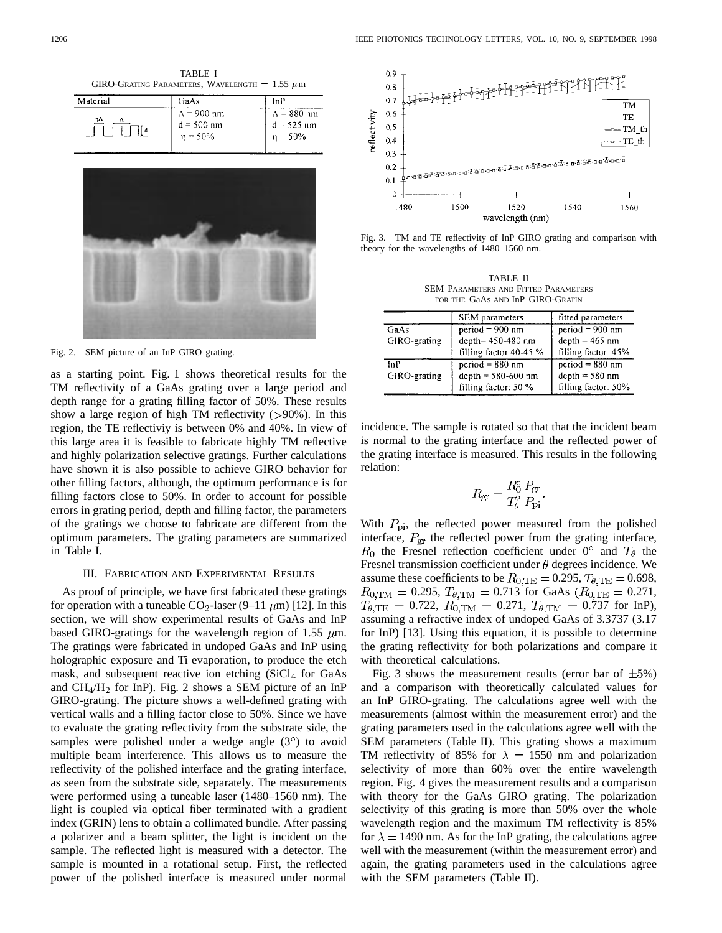TABLE I GIRO-GRATING PARAMETERS, WAVELENGTH =  $1.55 \mu m$ 

| $\Lambda = 880$ nm            |
|-------------------------------|
| $d = 525$ nm<br>$\eta = 50\%$ |
|                               |



Fig. 2. SEM picture of an InP GIRO grating.

as a starting point. Fig. 1 shows theoretical results for the TM reflectivity of a GaAs grating over a large period and depth range for a grating filling factor of 50%. These results show a large region of high TM reflectivity  $(>90\%)$ . In this region, the TE reflectiviy is between 0% and 40%. In view of this large area it is feasible to fabricate highly TM reflective and highly polarization selective gratings. Further calculations have shown it is also possible to achieve GIRO behavior for other filling factors, although, the optimum performance is for filling factors close to 50%. In order to account for possible errors in grating period, depth and filling factor, the parameters of the gratings we choose to fabricate are different from the optimum parameters. The grating parameters are summarized in Table I.

#### III. FABRICATION AND EXPERIMENTAL RESULTS

As proof of principle, we have first fabricated these gratings for operation with a tuneable  $CO_2$ -laser (9–11  $\mu$ m) [12]. In this section, we will show experimental results of GaAs and InP based GIRO-gratings for the wavelength region of 1.55  $\mu$ m. The gratings were fabricated in undoped GaAs and InP using holographic exposure and Ti evaporation, to produce the etch mask, and subsequent reactive ion etching  $(SiCl<sub>4</sub>$  for GaAs and  $CH_4/H_2$  for InP). Fig. 2 shows a SEM picture of an InP GIRO-grating. The picture shows a well-defined grating with vertical walls and a filling factor close to 50%. Since we have to evaluate the grating reflectivity from the substrate side, the samples were polished under a wedge angle  $(3^{\circ})$  to avoid multiple beam interference. This allows us to measure the reflectivity of the polished interface and the grating interface, as seen from the substrate side, separately. The measurements were performed using a tuneable laser (1480–1560 nm). The light is coupled via optical fiber terminated with a gradient index (GRIN) lens to obtain a collimated bundle. After passing a polarizer and a beam splitter, the light is incident on the sample. The reflected light is measured with a detector. The sample is mounted in a rotational setup. First, the reflected power of the polished interface is measured under normal



Fig. 3. TM and TE reflectivity of InP GIRO grating and comparison with theory for the wavelengths of 1480–1560 nm.

TABLE II SEM PARAMETERS AND FITTED PARAMETERS FOR THE GaAs AND InP GIRO-GRATIN

|              | <b>SEM</b> parameters   | fitted parameters   |
|--------------|-------------------------|---------------------|
| GaAs         | $period = 900$ nm       | period $= 900$ nm   |
| GIRO-grating | depth= 450-480 nm       | $depth = 465 nm$    |
|              | filling factor: 40-45 % | filling factor: 45% |
| InP          | $period = 880$ nm       | $period = 880$ nm   |
| GIRO-grating | depth = $580-600$ nm    | $depth = 580 nm$    |
|              | filling factor: 50 %    | filling factor: 50% |

incidence. The sample is rotated so that that the incident beam is normal to the grating interface and the reflected power of the grating interface is measured. This results in the following relation:

$$
R_{\rm gr} = \frac{R_0^{\rm o}}{T_{\theta}^2} \frac{P_{\rm gr}}{P_{\rm pi}}
$$

With  $P_{\text{pi}}$ , the reflected power measured from the polished interface,  $P_{\rm gr}$  the reflected power from the grating interface,  $R_0$  the Fresnel reflection coefficient under 0° and  $T_\theta$  the Fresnel transmission coefficient under  $\theta$  degrees incidence. We assume these coefficients to be  $R_{0,\text{TE}} = 0.295, T_{\theta,\text{TE}} = 0.698$ ,  $R_{0,\text{TM}} = 0.295$ ,  $T_{\theta,\text{TM}} = 0.713$  for GaAs  $(R_{0,\text{TE}} = 0.271$ ,  $T_{\theta,\text{TE}} = 0.722, R_{0,\text{TM}} = 0.271, T_{\theta,\text{TM}} = 0.737$  for InP), assuming a refractive index of undoped GaAs of 3.3737 (3.17 for InP) [13]. Using this equation, it is possible to determine the grating reflectivity for both polarizations and compare it with theoretical calculations.

Fig. 3 shows the measurement results (error bar of  $\pm 5\%$ ) and a comparison with theoretically calculated values for an InP GIRO-grating. The calculations agree well with the measurements (almost within the measurement error) and the grating parameters used in the calculations agree well with the SEM parameters (Table II). This grating shows a maximum TM reflectivity of 85% for  $\lambda = 1550$  nm and polarization selectivity of more than 60% over the entire wavelength region. Fig. 4 gives the measurement results and a comparison with theory for the GaAs GIRO grating. The polarization selectivity of this grating is more than 50% over the whole wavelength region and the maximum TM reflectivity is 85% for  $\lambda = 1490$  nm. As for the InP grating, the calculations agree well with the measurement (within the measurement error) and again, the grating parameters used in the calculations agree with the SEM parameters (Table II).